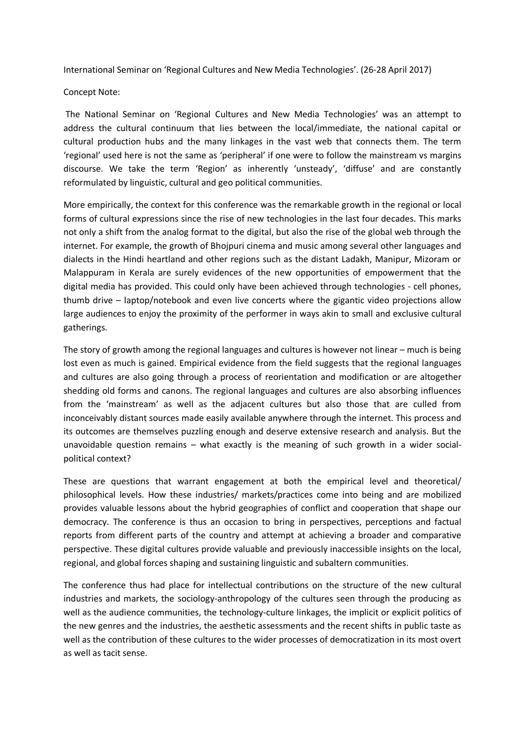International Seminar on 'Regional Cultures and New Media Technologies'. (26-28 April 2017)

## Concept Note:

The National Seminar on 'Regional Cultures and New Media Technologies' was an attempt to address the cultural continuum that lies between the local/immediate, the national capital or cultural production hubs and the many linkages in the vast web that connects them. The term 'regional' used here is not the same as 'peripheral' if one were to follow the mainstream vs margins discourse. We take the term 'Region' as inherently 'unsteady', 'diffuse' and are constantly reformulated by linguistic, cultural and geo political communities.

More empirically, the context for this conference was the remarkable growth in the regional or local forms of cultural expressions since the rise of new technologies in the last four decades. This marks not only a shift from the analog format to the digital, but also the rise of the global web through the internet. For example, the growth of Bhojpuri cinema and music among several other languages and dialects in the Hindi heartland and other regions such as the distant Ladakh, Manipur, Mizoram or Malappuram in Kerala are surely evidences of the new opportunities of empowerment that the digital media has provided. This could only have been achieved through technologies - cell phones, thumb drive – laptop/notebook and even live concerts where the gigantic video projections allow large audiences to enjoy the proximity of the performer in ways akin to small and exclusive cultural gatherings.

The story of growth among the regional languages and cultures is however not linear – much is being lost even as much is gained. Empirical evidence from the field suggests that the regional languages and cultures are also going through a process of reorientation and modification or are altogether shedding old forms and canons. The regional languages and cultures are also absorbing influences from the 'mainstream' as well as the adjacent cultures but also those that are culled from inconceivably distant sources made easily available anywhere through the internet. This process and its outcomes are themselves puzzling enough and deserve extensive research and analysis. But the unavoidable question remains – what exactly is the meaning of such growth in a wider socialpolitical context?

These are questions that warrant engagement at both the empirical level and theoretical/ philosophical levels. How these industries/ markets/practices come into being and are mobilized provides valuable lessons about the hybrid geographies of conflict and cooperation that shape our democracy. The conference is thus an occasion to bring in perspectives, perceptions and factual reports from different parts of the country and attempt at achieving a broader and comparative perspective. These digital cultures provide valuable and previously inaccessible insights on the local, regional, and global forces shaping and sustaining linguistic and subaltern communities.

The conference thus had place for intellectual contributions on the structure of the new cultural industries and markets, the sociology-anthropology of the cultures seen through the producing as well as the audience communities, the technology-culture linkages, the implicit or explicit politics of the new genres and the industries, the aesthetic assessments and the recent shifts in public taste as well as the contribution of these cultures to the wider processes of democratization in its most overt as well as tacit sense.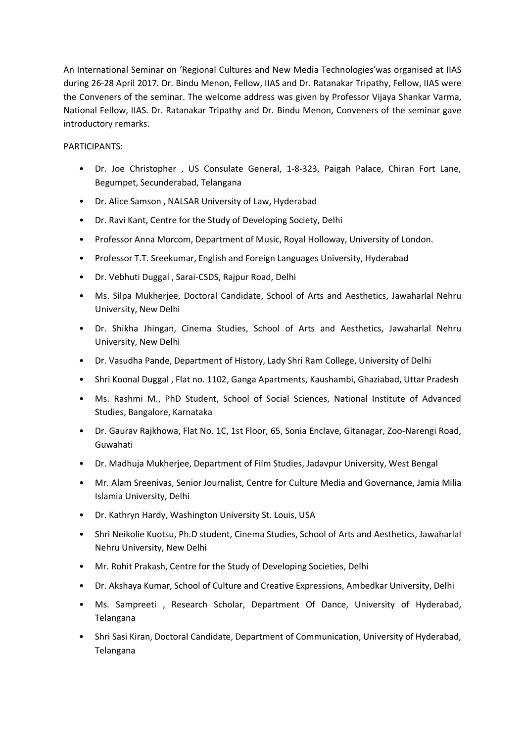An International Seminar on 'Regional Cultures and New Media Technologies'was organised at IIAS during 26-28 April 2017. Dr. Bindu Menon, Fellow, IIAS and Dr. Ratanakar Tripathy, Fellow, IIAS were the Conveners of the seminar. The welcome address was given by Professor Vijaya Shankar Varma, National Fellow, IIAS. Dr. Ratanakar Tripathy and Dr. Bindu Menon, Conveners of the seminar gave introductory remarks.

## PARTICIPANTS:

- Dr. Joe Christopher , US Consulate General, 1-8-323, Paigah Palace, Chiran Fort Lane, Begumpet, Secunderabad, Telangana
- Dr. Alice Samson , NALSAR University of Law, Hyderabad
- Dr. Ravi Kant, Centre for the Study of Developing Society, Delhi
- Professor Anna Morcom, Department of Music, Royal Holloway, University of London.
- Professor T.T. Sreekumar, English and Foreign Languages University, Hyderabad
- Dr. Vebhuti Duggal , Sarai-CSDS, Rajpur Road, Delhi
- Ms. Silpa Mukherjee, Doctoral Candidate, School of Arts and Aesthetics, Jawaharlal Nehru University, New Delhi
- Dr. Shikha Jhingan, Cinema Studies, School of Arts and Aesthetics, Jawaharlal Nehru University, New Delhi
- Dr. Vasudha Pande, Department of History, Lady Shri Ram College, University of Delhi
- Shri Koonal Duggal , Flat no. 1102, Ganga Apartments, Kaushambi, Ghaziabad, Uttar Pradesh
- Ms. Rashmi M., PhD Student, School of Social Sciences, National Institute of Advanced Studies, Bangalore, Karnataka
- Dr. Gaurav Rajkhowa, Flat No. 1C, 1st Floor, 65, Sonia Enclave, Gitanagar, Zoo-Narengi Road, Guwahati
- Dr. Madhuja Mukherjee, Department of Film Studies, Jadavpur University, West Bengal
- Mr. Alam Sreenivas, Senior Journalist, Centre for Culture Media and Governance, Jamia Milia Islamia University, Delhi
- Dr. Kathryn Hardy, Washington University St. Louis, USA
- Shri Neikolie Kuotsu, Ph.D student, Cinema Studies, School of Arts and Aesthetics, Jawaharlal Nehru University, New Delhi
- Mr. Rohit Prakash, Centre for the Study of Developing Societies, Delhi
- Dr. Akshaya Kumar, School of Culture and Creative Expressions, Ambedkar University, Delhi
- Ms. Sampreeti , Research Scholar, Department Of Dance, University of Hyderabad, Telangana
- Shri Sasi Kiran, Doctoral Candidate, Department of Communication, University of Hyderabad, Telangana